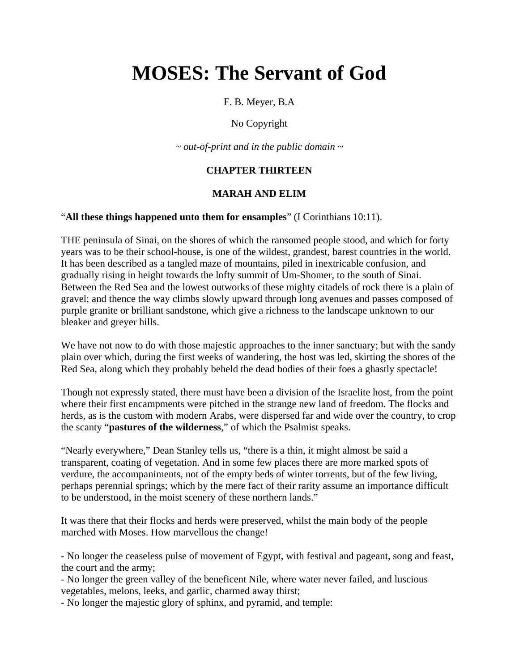# **MOSES: The Servant of God**

F. B. Meyer, B.A

## No Copyright

*~ out-of-print and in the public domain ~* 

# **CHAPTER THIRTEEN**

## **MARAH AND ELIM**

## "**All these things happened unto them for ensamples**" (I Corinthians 10:11).

THE peninsula of Sinai, on the shores of which the ransomed people stood, and which for forty years was to be their school-house, is one of the wildest, grandest, barest countries in the world. It has been described as a tangled maze of mountains, piled in inextricable confusion, and gradually rising in height towards the lofty summit of Um-Shomer, to the south of Sinai. Between the Red Sea and the lowest outworks of these mighty citadels of rock there is a plain of gravel; and thence the way climbs slowly upward through long avenues and passes composed of purple granite or brilliant sandstone, which give a richness to the landscape unknown to our bleaker and greyer hills.

We have not now to do with those majestic approaches to the inner sanctuary; but with the sandy plain over which, during the first weeks of wandering, the host was led, skirting the shores of the Red Sea, along which they probably beheld the dead bodies of their foes a ghastly spectacle!

Though not expressly stated, there must have been a division of the Israelite host, from the point where their first encampments were pitched in the strange new land of freedom. The flocks and herds, as is the custom with modern Arabs, were dispersed far and wide over the country, to crop the scanty "**pastures of the wilderness**," of which the Psalmist speaks.

"Nearly everywhere," Dean Stanley tells us, "there is a thin, it might almost be said a transparent, coating of vegetation. And in some few places there are more marked spots of verdure, the accompaniments, not of the empty beds of winter torrents, but of the few living, perhaps perennial springs; which by the mere fact of their rarity assume an importance difficult to be understood, in the moist scenery of these northern lands."

It was there that their flocks and herds were preserved, whilst the main body of the people marched with Moses. How marvellous the change!

- No longer the ceaseless pulse of movement of Egypt, with festival and pageant, song and feast, the court and the army;

- No longer the green valley of the beneficent Nile, where water never failed, and luscious vegetables, melons, leeks, and garlic, charmed away thirst;

- No longer the majestic glory of sphinx, and pyramid, and temple: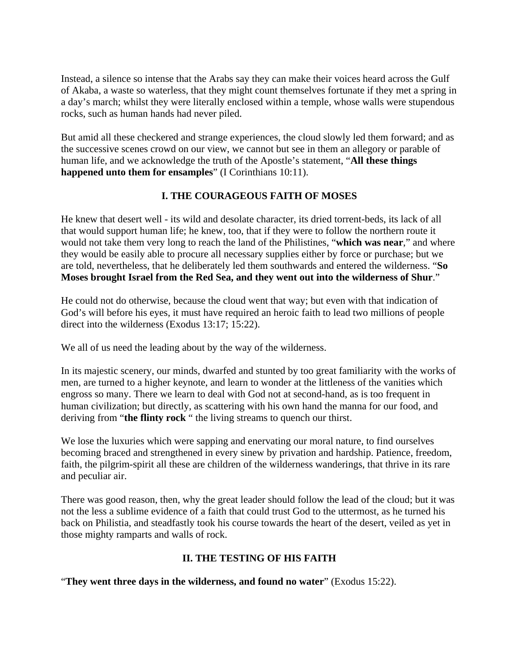Instead, a silence so intense that the Arabs say they can make their voices heard across the Gulf of Akaba, a waste so waterless, that they might count themselves fortunate if they met a spring in a day's march; whilst they were literally enclosed within a temple, whose walls were stupendous rocks, such as human hands had never piled.

But amid all these checkered and strange experiences, the cloud slowly led them forward; and as the successive scenes crowd on our view, we cannot but see in them an allegory or parable of human life, and we acknowledge the truth of the Apostle's statement, "**All these things happened unto them for ensamples**" (I Corinthians 10:11).

# **I. THE COURAGEOUS FAITH OF MOSES**

He knew that desert well - its wild and desolate character, its dried torrent-beds, its lack of all that would support human life; he knew, too, that if they were to follow the northern route it would not take them very long to reach the land of the Philistines, "**which was near**," and where they would be easily able to procure all necessary supplies either by force or purchase; but we are told, nevertheless, that he deliberately led them southwards and entered the wilderness. "**So Moses brought Israel from the Red Sea, and they went out into the wilderness of Shur**."

He could not do otherwise, because the cloud went that way; but even with that indication of God's will before his eyes, it must have required an heroic faith to lead two millions of people direct into the wilderness (Exodus 13:17; 15:22).

We all of us need the leading about by the way of the wilderness.

In its majestic scenery, our minds, dwarfed and stunted by too great familiarity with the works of men, are turned to a higher keynote, and learn to wonder at the littleness of the vanities which engross so many. There we learn to deal with God not at second-hand, as is too frequent in human civilization; but directly, as scattering with his own hand the manna for our food, and deriving from "**the flinty rock** " the living streams to quench our thirst.

We lose the luxuries which were sapping and enervating our moral nature, to find ourselves becoming braced and strengthened in every sinew by privation and hardship. Patience, freedom, faith, the pilgrim-spirit all these are children of the wilderness wanderings, that thrive in its rare and peculiar air.

There was good reason, then, why the great leader should follow the lead of the cloud; but it was not the less a sublime evidence of a faith that could trust God to the uttermost, as he turned his back on Philistia, and steadfastly took his course towards the heart of the desert, veiled as yet in those mighty ramparts and walls of rock.

# **II. THE TESTING OF HIS FAITH**

"**They went three days in the wilderness, and found no water**" (Exodus 15:22).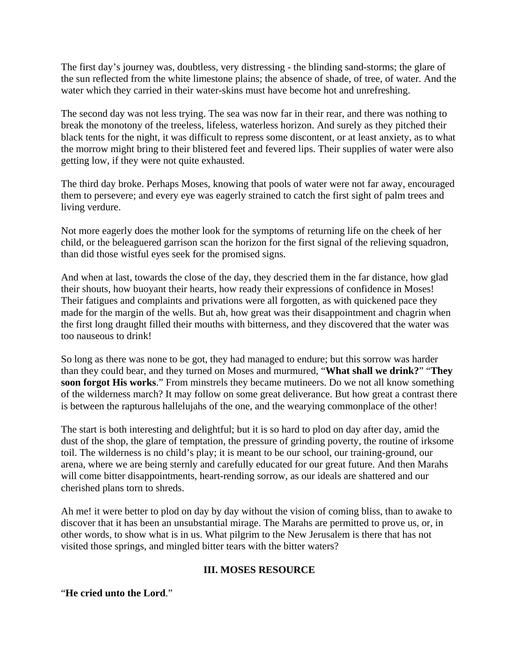The first day's journey was, doubtless, very distressing - the blinding sand-storms; the glare of the sun reflected from the white limestone plains; the absence of shade, of tree, of water. And the water which they carried in their water-skins must have become hot and unrefreshing.

The second day was not less trying. The sea was now far in their rear, and there was nothing to break the monotony of the treeless, lifeless, waterless horizon. And surely as they pitched their black tents for the night, it was difficult to repress some discontent, or at least anxiety, as to what the morrow might bring to their blistered feet and fevered lips. Their supplies of water were also getting low, if they were not quite exhausted.

The third day broke. Perhaps Moses, knowing that pools of water were not far away, encouraged them to persevere; and every eye was eagerly strained to catch the first sight of palm trees and living verdure.

Not more eagerly does the mother look for the symptoms of returning life on the cheek of her child, or the beleaguered garrison scan the horizon for the first signal of the relieving squadron, than did those wistful eyes seek for the promised signs.

And when at last, towards the close of the day, they descried them in the far distance, how glad their shouts, how buoyant their hearts, how ready their expressions of confidence in Moses! Their fatigues and complaints and privations were all forgotten, as with quickened pace they made for the margin of the wells. But ah, how great was their disappointment and chagrin when the first long draught filled their mouths with bitterness, and they discovered that the water was too nauseous to drink!

So long as there was none to be got, they had managed to endure; but this sorrow was harder than they could bear, and they turned on Moses and murmured, "**What shall we drink?**" "**They soon forgot His works**." From minstrels they became mutineers. Do we not all know something of the wilderness march? It may follow on some great deliverance. But how great a contrast there is between the rapturous hallelujahs of the one, and the wearying commonplace of the other!

The start is both interesting and delightful; but it is so hard to plod on day after day, amid the dust of the shop, the glare of temptation, the pressure of grinding poverty, the routine of irksome toil. The wilderness is no child's play; it is meant to be our school, our training-ground, our arena, where we are being sternly and carefully educated for our great future. And then Marahs will come bitter disappointments, heart-rending sorrow, as our ideals are shattered and our cherished plans torn to shreds.

Ah me! it were better to plod on day by day without the vision of coming bliss, than to awake to discover that it has been an unsubstantial mirage. The Marahs are permitted to prove us, or, in other words, to show what is in us. What pilgrim to the New Jerusalem is there that has not visited those springs, and mingled bitter tears with the bitter waters?

## **III. MOSES RESOURCE**

### "**He cried unto the Lord**."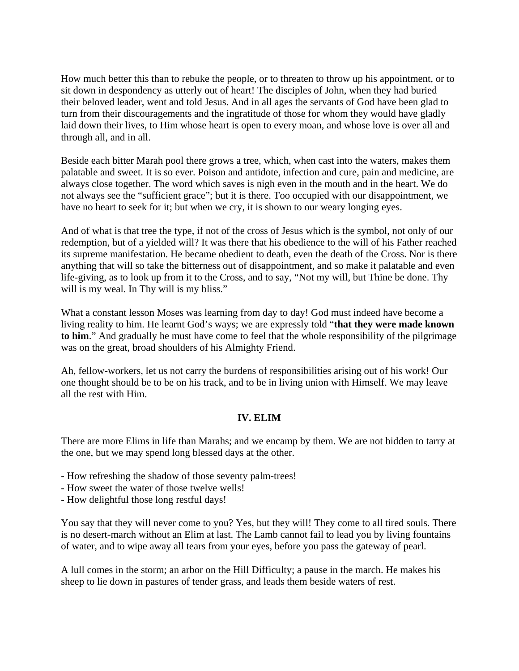How much better this than to rebuke the people, or to threaten to throw up his appointment, or to sit down in despondency as utterly out of heart! The disciples of John, when they had buried their beloved leader, went and told Jesus. And in all ages the servants of God have been glad to turn from their discouragements and the ingratitude of those for whom they would have gladly laid down their lives, to Him whose heart is open to every moan, and whose love is over all and through all, and in all.

Beside each bitter Marah pool there grows a tree, which, when cast into the waters, makes them palatable and sweet. It is so ever. Poison and antidote, infection and cure, pain and medicine, are always close together. The word which saves is nigh even in the mouth and in the heart. We do not always see the "sufficient grace"; but it is there. Too occupied with our disappointment, we have no heart to seek for it; but when we cry, it is shown to our weary longing eyes.

And of what is that tree the type, if not of the cross of Jesus which is the symbol, not only of our redemption, but of a yielded will? It was there that his obedience to the will of his Father reached its supreme manifestation. He became obedient to death, even the death of the Cross. Nor is there anything that will so take the bitterness out of disappointment, and so make it palatable and even life-giving, as to look up from it to the Cross, and to say, "Not my will, but Thine be done. Thy will is my weal. In Thy will is my bliss."

What a constant lesson Moses was learning from day to day! God must indeed have become a living reality to him. He learnt God's ways; we are expressly told "**that they were made known to him**." And gradually he must have come to feel that the whole responsibility of the pilgrimage was on the great, broad shoulders of his Almighty Friend.

Ah, fellow-workers, let us not carry the burdens of responsibilities arising out of his work! Our one thought should be to be on his track, and to be in living union with Himself. We may leave all the rest with Him.

### **IV. ELIM**

There are more Elims in life than Marahs; and we encamp by them. We are not bidden to tarry at the one, but we may spend long blessed days at the other.

- How refreshing the shadow of those seventy palm-trees!
- How sweet the water of those twelve wells!
- How delightful those long restful days!

You say that they will never come to you? Yes, but they will! They come to all tired souls. There is no desert-march without an Elim at last. The Lamb cannot fail to lead you by living fountains of water, and to wipe away all tears from your eyes, before you pass the gateway of pearl.

A lull comes in the storm; an arbor on the Hill Difficulty; a pause in the march. He makes his sheep to lie down in pastures of tender grass, and leads them beside waters of rest.